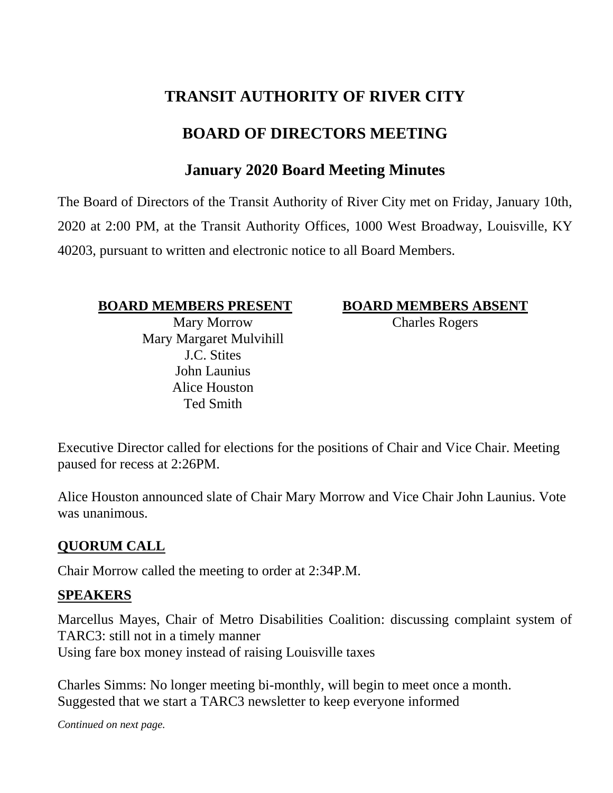# **TRANSIT AUTHORITY OF RIVER CITY**

# **BOARD OF DIRECTORS MEETING**

## **January 2020 Board Meeting Minutes**

The Board of Directors of the Transit Authority of River City met on Friday, January 10th, 2020 at 2:00 PM, at the Transit Authority Offices, 1000 West Broadway, Louisville, KY 40203, pursuant to written and electronic notice to all Board Members.

#### **BOARD MEMBERS PRESENT BOARD MEMBERS ABSENT**

Mary Morrow Mary Margaret Mulvihill J.C. Stites John Launius Alice Houston Ted Smith

Charles Rogers

Executive Director called for elections for the positions of Chair and Vice Chair. Meeting paused for recess at 2:26PM.

Alice Houston announced slate of Chair Mary Morrow and Vice Chair John Launius. Vote was unanimous.

#### **QUORUM CALL**

Chair Morrow called the meeting to order at 2:34P.M.

#### **SPEAKERS**

Marcellus Mayes, Chair of Metro Disabilities Coalition: discussing complaint system of TARC3: still not in a timely manner Using fare box money instead of raising Louisville taxes

Charles Simms: No longer meeting bi-monthly, will begin to meet once a month. Suggested that we start a TARC3 newsletter to keep everyone informed

*Continued on next page.*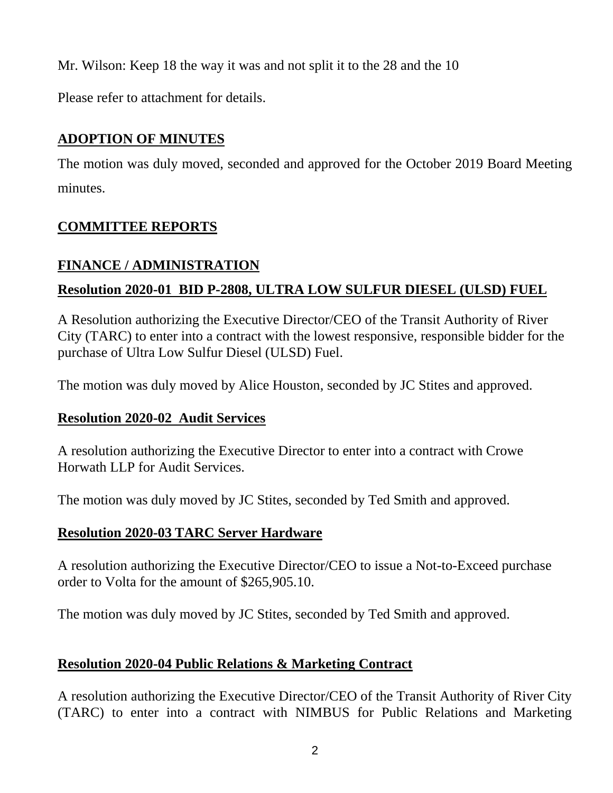Mr. Wilson: Keep 18 the way it was and not split it to the 28 and the 10

Please refer to attachment for details.

## **ADOPTION OF MINUTES**

The motion was duly moved, seconded and approved for the October 2019 Board Meeting minutes.

## **COMMITTEE REPORTS**

## **FINANCE / ADMINISTRATION**

## **Resolution 2020-01 BID P-2808, ULTRA LOW SULFUR DIESEL (ULSD) FUEL**

A Resolution authorizing the Executive Director/CEO of the Transit Authority of River City (TARC) to enter into a contract with the lowest responsive, responsible bidder for the purchase of Ultra Low Sulfur Diesel (ULSD) Fuel.

The motion was duly moved by Alice Houston, seconded by JC Stites and approved.

## **Resolution 2020-02 Audit Services**

A resolution authorizing the Executive Director to enter into a contract with Crowe Horwath LLP for Audit Services.

The motion was duly moved by JC Stites, seconded by Ted Smith and approved.

## **Resolution 2020-03 TARC Server Hardware**

A resolution authorizing the Executive Director/CEO to issue a Not-to-Exceed purchase order to Volta for the amount of \$265,905.10.

The motion was duly moved by JC Stites, seconded by Ted Smith and approved.

## **Resolution 2020-04 Public Relations & Marketing Contract**

A resolution authorizing the Executive Director/CEO of the Transit Authority of River City (TARC) to enter into a contract with NIMBUS for Public Relations and Marketing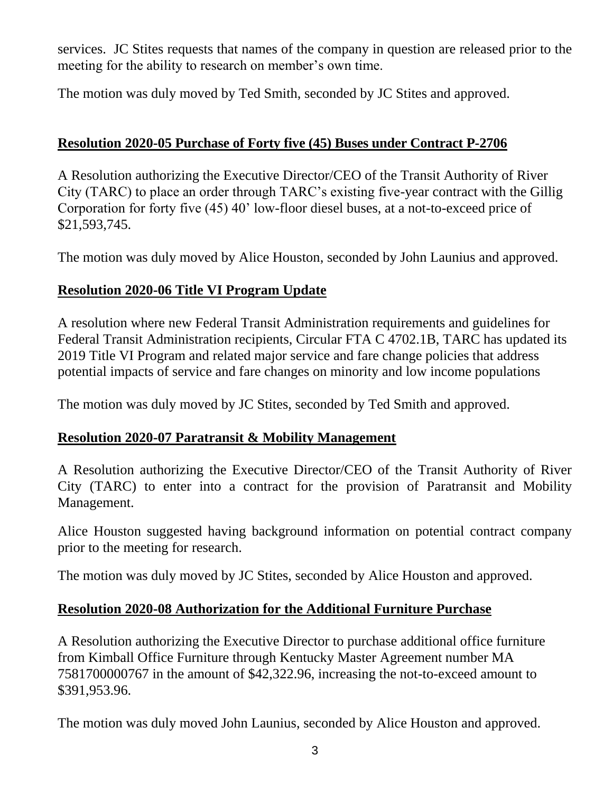services. JC Stites requests that names of the company in question are released prior to the meeting for the ability to research on member's own time.

The motion was duly moved by Ted Smith, seconded by JC Stites and approved.

### **Resolution 2020-05 Purchase of Forty five (45) Buses under Contract P-2706**

A Resolution authorizing the Executive Director/CEO of the Transit Authority of River City (TARC) to place an order through TARC's existing five-year contract with the Gillig Corporation for forty five (45) 40' low-floor diesel buses, at a not-to-exceed price of \$21,593,745.

The motion was duly moved by Alice Houston, seconded by John Launius and approved.

## **Resolution 2020-06 Title VI Program Update**

A resolution where new Federal Transit Administration requirements and guidelines for Federal Transit Administration recipients, Circular FTA C 4702.1B, TARC has updated its 2019 Title VI Program and related major service and fare change policies that address potential impacts of service and fare changes on minority and low income populations

The motion was duly moved by JC Stites, seconded by Ted Smith and approved.

#### **Resolution 2020-07 Paratransit & Mobility Management**

A Resolution authorizing the Executive Director/CEO of the Transit Authority of River City (TARC) to enter into a contract for the provision of Paratransit and Mobility Management.

Alice Houston suggested having background information on potential contract company prior to the meeting for research.

The motion was duly moved by JC Stites, seconded by Alice Houston and approved.

#### **Resolution 2020-08 Authorization for the Additional Furniture Purchase**

A Resolution authorizing the Executive Director to purchase additional office furniture from Kimball Office Furniture through Kentucky Master Agreement number MA 7581700000767 in the amount of \$42,322.96, increasing the not-to-exceed amount to \$391,953.96.

The motion was duly moved John Launius, seconded by Alice Houston and approved.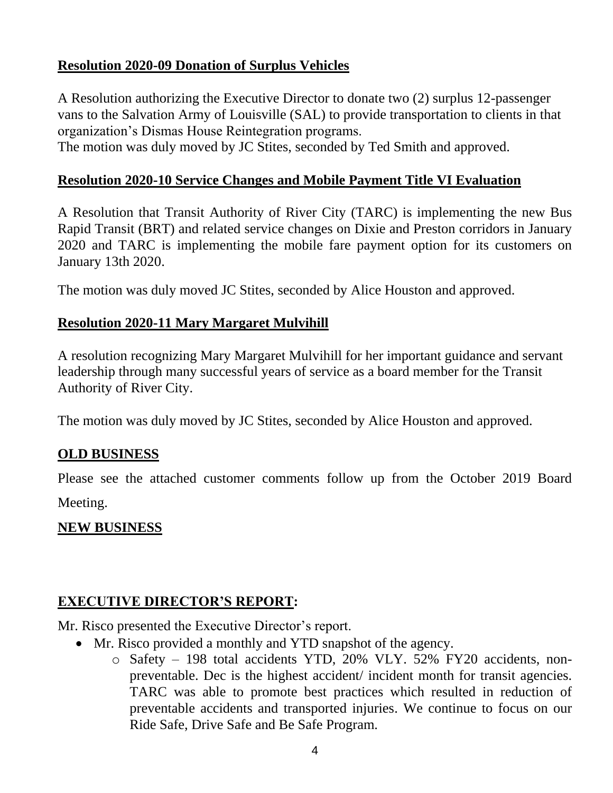### **Resolution 2020-09 Donation of Surplus Vehicles**

A Resolution authorizing the Executive Director to donate two (2) surplus 12-passenger vans to the Salvation Army of Louisville (SAL) to provide transportation to clients in that organization's Dismas House Reintegration programs.

The motion was duly moved by JC Stites, seconded by Ted Smith and approved.

### **Resolution 2020-10 Service Changes and Mobile Payment Title VI Evaluation**

A Resolution that Transit Authority of River City (TARC) is implementing the new Bus Rapid Transit (BRT) and related service changes on Dixie and Preston corridors in January 2020 and TARC is implementing the mobile fare payment option for its customers on January 13th 2020.

The motion was duly moved JC Stites, seconded by Alice Houston and approved.

#### **Resolution 2020-11 Mary Margaret Mulvihill**

A resolution recognizing Mary Margaret Mulvihill for her important guidance and servant leadership through many successful years of service as a board member for the Transit Authority of River City.

The motion was duly moved by JC Stites, seconded by Alice Houston and approved.

#### **OLD BUSINESS**

Please see the attached customer comments follow up from the October 2019 Board Meeting.

## **NEW BUSINESS**

## **EXECUTIVE DIRECTOR'S REPORT:**

Mr. Risco presented the Executive Director's report.

- Mr. Risco provided a monthly and YTD snapshot of the agency.
	- o Safety 198 total accidents YTD, 20% VLY. 52% FY20 accidents, nonpreventable. Dec is the highest accident/ incident month for transit agencies. TARC was able to promote best practices which resulted in reduction of preventable accidents and transported injuries. We continue to focus on our Ride Safe, Drive Safe and Be Safe Program.